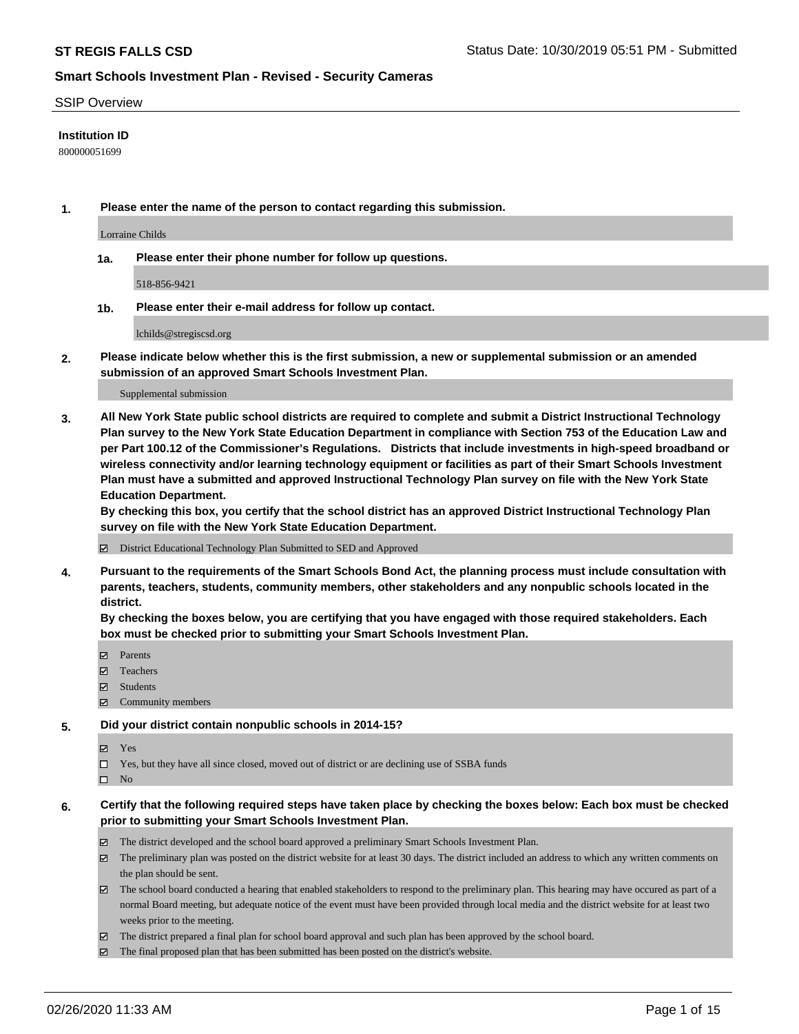#### SSIP Overview

#### **Institution ID**

800000051699

**1. Please enter the name of the person to contact regarding this submission.**

Lorraine Childs

**1a. Please enter their phone number for follow up questions.**

518-856-9421

**1b. Please enter their e-mail address for follow up contact.**

lchilds@stregiscsd.org

**2. Please indicate below whether this is the first submission, a new or supplemental submission or an amended submission of an approved Smart Schools Investment Plan.**

#### Supplemental submission

**3. All New York State public school districts are required to complete and submit a District Instructional Technology Plan survey to the New York State Education Department in compliance with Section 753 of the Education Law and per Part 100.12 of the Commissioner's Regulations. Districts that include investments in high-speed broadband or wireless connectivity and/or learning technology equipment or facilities as part of their Smart Schools Investment Plan must have a submitted and approved Instructional Technology Plan survey on file with the New York State Education Department.** 

**By checking this box, you certify that the school district has an approved District Instructional Technology Plan survey on file with the New York State Education Department.**

District Educational Technology Plan Submitted to SED and Approved

**4. Pursuant to the requirements of the Smart Schools Bond Act, the planning process must include consultation with parents, teachers, students, community members, other stakeholders and any nonpublic schools located in the district.** 

**By checking the boxes below, you are certifying that you have engaged with those required stakeholders. Each box must be checked prior to submitting your Smart Schools Investment Plan.**

- **マ** Parents
- Teachers
- Students
- $\Xi$  Community members

#### **5. Did your district contain nonpublic schools in 2014-15?**

**冈** Yes

Yes, but they have all since closed, moved out of district or are declining use of SSBA funds

 $\square$  No

- **6. Certify that the following required steps have taken place by checking the boxes below: Each box must be checked prior to submitting your Smart Schools Investment Plan.**
	- The district developed and the school board approved a preliminary Smart Schools Investment Plan.
	- $\boxtimes$  The preliminary plan was posted on the district website for at least 30 days. The district included an address to which any written comments on the plan should be sent.
	- $\boxtimes$  The school board conducted a hearing that enabled stakeholders to respond to the preliminary plan. This hearing may have occured as part of a normal Board meeting, but adequate notice of the event must have been provided through local media and the district website for at least two weeks prior to the meeting.
	- The district prepared a final plan for school board approval and such plan has been approved by the school board.
	- $\boxtimes$  The final proposed plan that has been submitted has been posted on the district's website.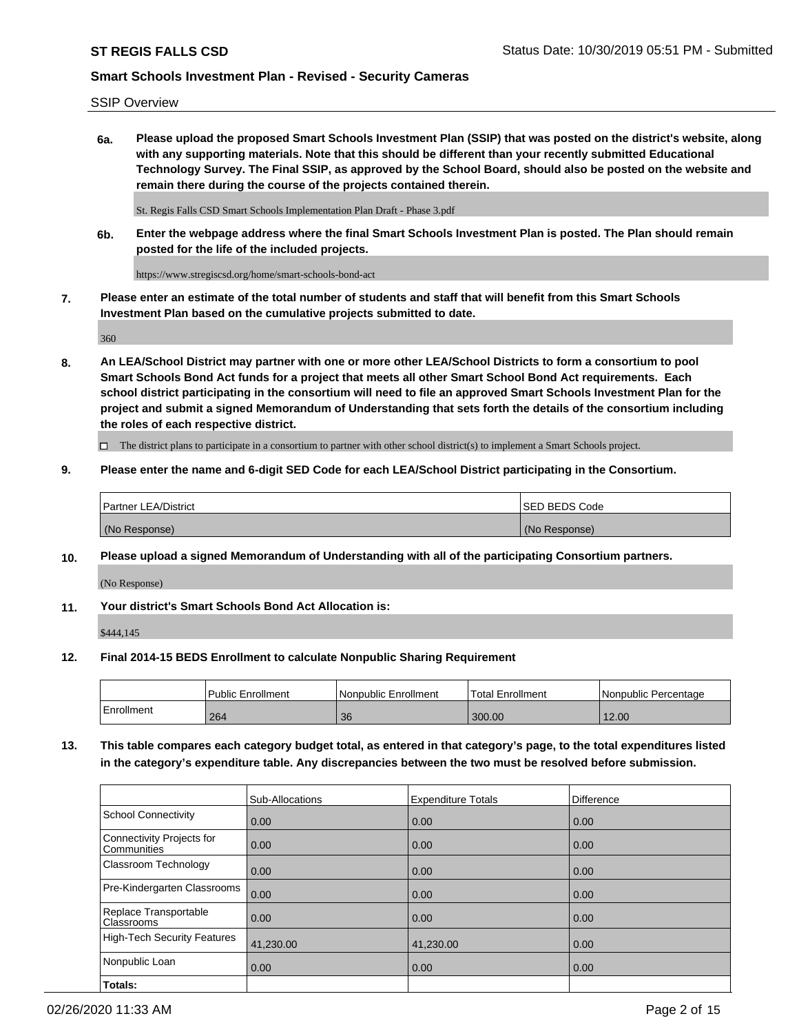SSIP Overview

**6a. Please upload the proposed Smart Schools Investment Plan (SSIP) that was posted on the district's website, along with any supporting materials. Note that this should be different than your recently submitted Educational Technology Survey. The Final SSIP, as approved by the School Board, should also be posted on the website and remain there during the course of the projects contained therein.**

St. Regis Falls CSD Smart Schools Implementation Plan Draft - Phase 3.pdf

**6b. Enter the webpage address where the final Smart Schools Investment Plan is posted. The Plan should remain posted for the life of the included projects.**

https://www.stregiscsd.org/home/smart-schools-bond-act

**7. Please enter an estimate of the total number of students and staff that will benefit from this Smart Schools Investment Plan based on the cumulative projects submitted to date.**

360

**8. An LEA/School District may partner with one or more other LEA/School Districts to form a consortium to pool Smart Schools Bond Act funds for a project that meets all other Smart School Bond Act requirements. Each school district participating in the consortium will need to file an approved Smart Schools Investment Plan for the project and submit a signed Memorandum of Understanding that sets forth the details of the consortium including the roles of each respective district.**

 $\Box$  The district plans to participate in a consortium to partner with other school district(s) to implement a Smart Schools project.

### **9. Please enter the name and 6-digit SED Code for each LEA/School District participating in the Consortium.**

| Partner LEA/District | <b>ISED BEDS Code</b> |
|----------------------|-----------------------|
| (No Response)        | (No Response)         |

### **10. Please upload a signed Memorandum of Understanding with all of the participating Consortium partners.**

(No Response)

**11. Your district's Smart Schools Bond Act Allocation is:**

\$444,145

### **12. Final 2014-15 BEDS Enrollment to calculate Nonpublic Sharing Requirement**

|            | Public Enrollment | Nonpublic Enrollment | Total Enrollment | I Nonpublic Percentage |
|------------|-------------------|----------------------|------------------|------------------------|
| Enrollment | 264               | 36                   | 300.00           | 12.00                  |

**13. This table compares each category budget total, as entered in that category's page, to the total expenditures listed in the category's expenditure table. Any discrepancies between the two must be resolved before submission.**

|                                                 | Sub-Allocations | <b>Expenditure Totals</b> | Difference |
|-------------------------------------------------|-----------------|---------------------------|------------|
| <b>School Connectivity</b>                      | 0.00            | 0.00                      | 0.00       |
| <b>Connectivity Projects for</b><br>Communities | 0.00            | 0.00                      | 0.00       |
| Classroom Technology                            | 0.00            | 0.00                      | 0.00       |
| Pre-Kindergarten Classrooms                     | 0.00            | 0.00                      | 0.00       |
| Replace Transportable<br>Classrooms             | 0.00            | 0.00                      | 0.00       |
| <b>High-Tech Security Features</b>              | 41,230.00       | 41,230.00                 | 0.00       |
| Nonpublic Loan                                  | 0.00            | 0.00                      | 0.00       |
| Totals:                                         |                 |                           |            |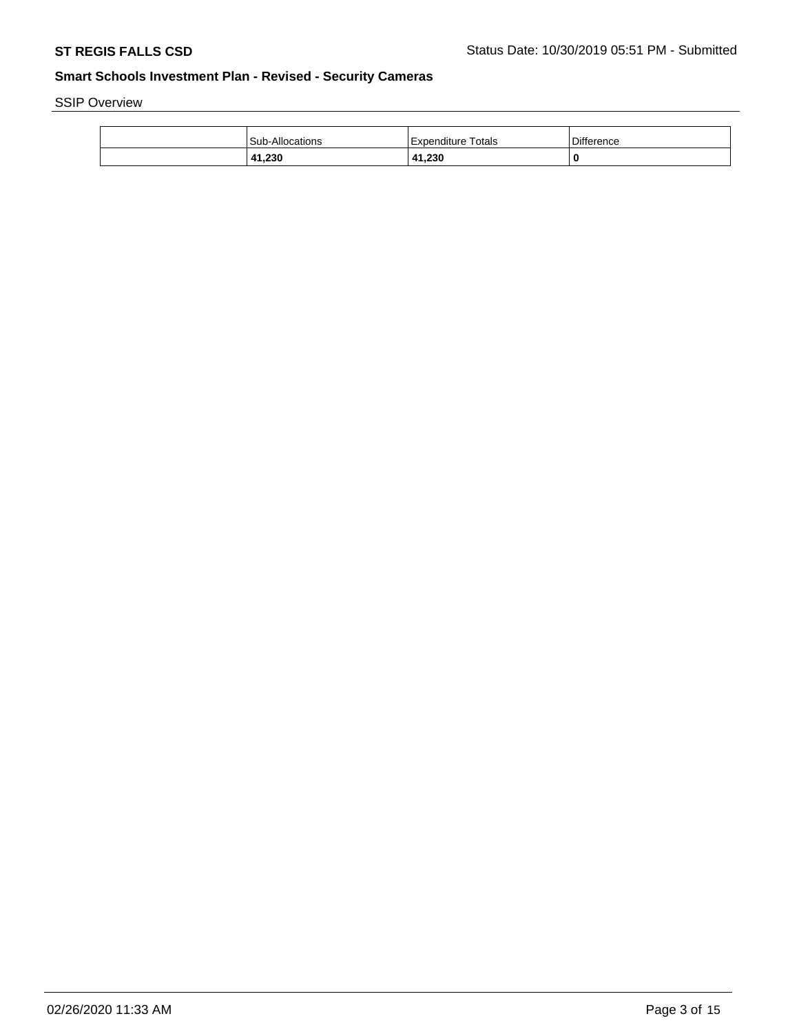SSIP Overview

| Sub-Allocations  | Totals<br>l Expenditure         | <b>Difference</b> |
|------------------|---------------------------------|-------------------|
| 41 23C<br>41,ZJU | 41,230<br>$\mathbf{A}^{\prime}$ | 0                 |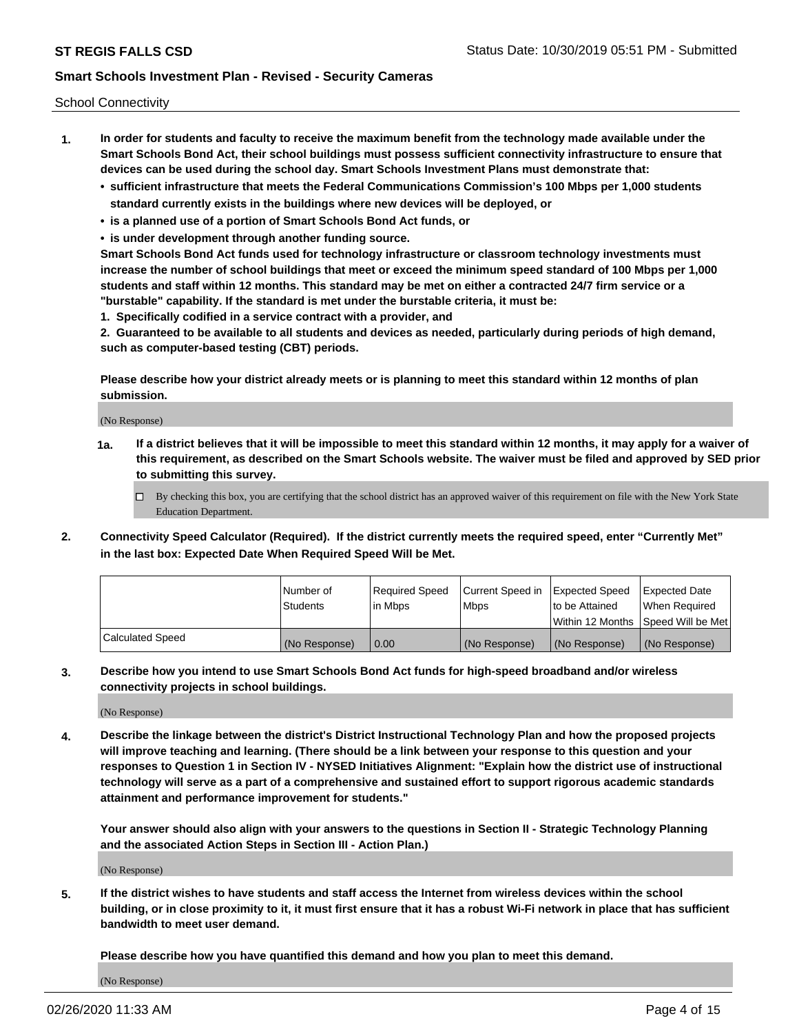School Connectivity

- **1. In order for students and faculty to receive the maximum benefit from the technology made available under the Smart Schools Bond Act, their school buildings must possess sufficient connectivity infrastructure to ensure that devices can be used during the school day. Smart Schools Investment Plans must demonstrate that:**
	- **• sufficient infrastructure that meets the Federal Communications Commission's 100 Mbps per 1,000 students standard currently exists in the buildings where new devices will be deployed, or**
	- **• is a planned use of a portion of Smart Schools Bond Act funds, or**
	- **• is under development through another funding source.**

**Smart Schools Bond Act funds used for technology infrastructure or classroom technology investments must increase the number of school buildings that meet or exceed the minimum speed standard of 100 Mbps per 1,000 students and staff within 12 months. This standard may be met on either a contracted 24/7 firm service or a "burstable" capability. If the standard is met under the burstable criteria, it must be:**

**1. Specifically codified in a service contract with a provider, and**

**2. Guaranteed to be available to all students and devices as needed, particularly during periods of high demand, such as computer-based testing (CBT) periods.**

**Please describe how your district already meets or is planning to meet this standard within 12 months of plan submission.**

(No Response)

**1a. If a district believes that it will be impossible to meet this standard within 12 months, it may apply for a waiver of this requirement, as described on the Smart Schools website. The waiver must be filed and approved by SED prior to submitting this survey.**

 $\Box$  By checking this box, you are certifying that the school district has an approved waiver of this requirement on file with the New York State Education Department.

**2. Connectivity Speed Calculator (Required). If the district currently meets the required speed, enter "Currently Met" in the last box: Expected Date When Required Speed Will be Met.**

|                  | l Number of   | Required Speed | Current Speed in | Expected Speed  | Expected Date                           |
|------------------|---------------|----------------|------------------|-----------------|-----------------------------------------|
|                  | Students      | In Mbps        | l Mbps           | to be Attained  | When Required                           |
|                  |               |                |                  |                 | l Within 12 Months ISpeed Will be Met l |
| Calculated Speed | (No Response) | 0.00           | (No Response)    | l (No Response) | l (No Response)                         |

**3. Describe how you intend to use Smart Schools Bond Act funds for high-speed broadband and/or wireless connectivity projects in school buildings.**

(No Response)

**4. Describe the linkage between the district's District Instructional Technology Plan and how the proposed projects will improve teaching and learning. (There should be a link between your response to this question and your responses to Question 1 in Section IV - NYSED Initiatives Alignment: "Explain how the district use of instructional technology will serve as a part of a comprehensive and sustained effort to support rigorous academic standards attainment and performance improvement for students."** 

**Your answer should also align with your answers to the questions in Section II - Strategic Technology Planning and the associated Action Steps in Section III - Action Plan.)**

(No Response)

**5. If the district wishes to have students and staff access the Internet from wireless devices within the school building, or in close proximity to it, it must first ensure that it has a robust Wi-Fi network in place that has sufficient bandwidth to meet user demand.**

**Please describe how you have quantified this demand and how you plan to meet this demand.**

(No Response)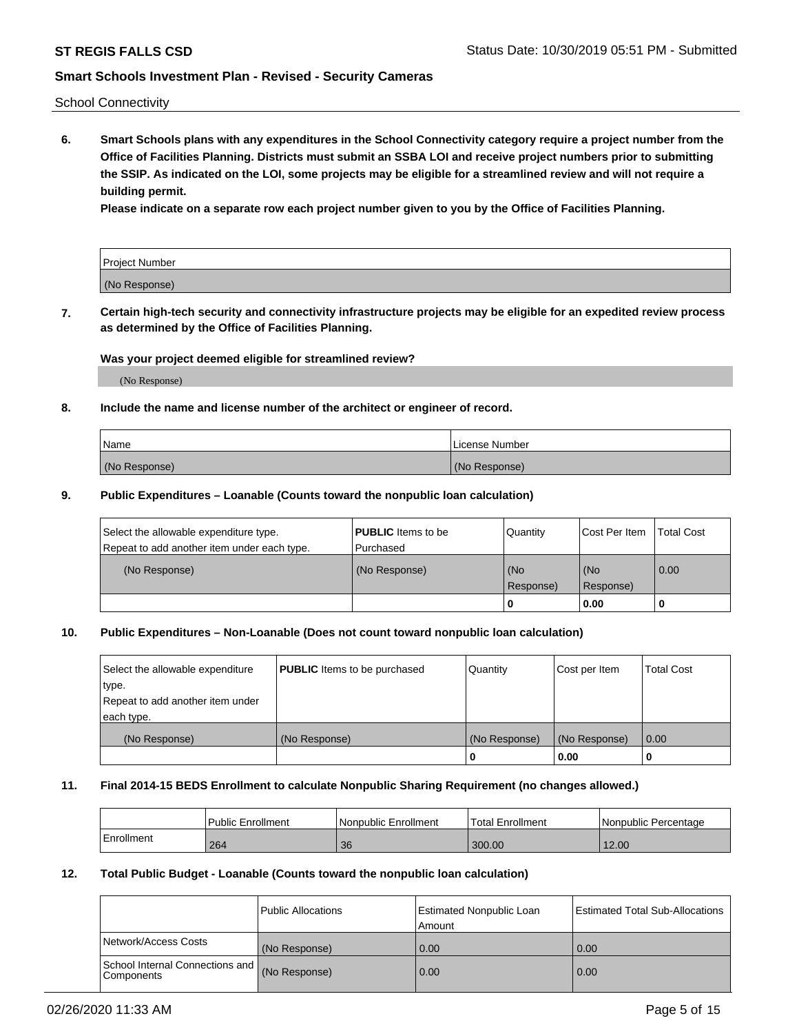School Connectivity

**6. Smart Schools plans with any expenditures in the School Connectivity category require a project number from the Office of Facilities Planning. Districts must submit an SSBA LOI and receive project numbers prior to submitting the SSIP. As indicated on the LOI, some projects may be eligible for a streamlined review and will not require a building permit.**

**Please indicate on a separate row each project number given to you by the Office of Facilities Planning.**

| Project Number |  |
|----------------|--|
| (No Response)  |  |

**7. Certain high-tech security and connectivity infrastructure projects may be eligible for an expedited review process as determined by the Office of Facilities Planning.**

#### **Was your project deemed eligible for streamlined review?**

(No Response)

### **8. Include the name and license number of the architect or engineer of record.**

| Name          | License Number |
|---------------|----------------|
| (No Response) | (No Response)  |

#### **9. Public Expenditures – Loanable (Counts toward the nonpublic loan calculation)**

| Select the allowable expenditure type.<br>Repeat to add another item under each type. | <b>PUBLIC</b> Items to be<br>l Purchased | Quantity           | Cost Per Item    | <b>Total Cost</b> |
|---------------------------------------------------------------------------------------|------------------------------------------|--------------------|------------------|-------------------|
| (No Response)                                                                         | (No Response)                            | l (No<br>Response) | (No<br>Response) | $\overline{0.00}$ |
|                                                                                       |                                          | O                  | 0.00             |                   |

### **10. Public Expenditures – Non-Loanable (Does not count toward nonpublic loan calculation)**

| Select the allowable expenditure<br>type.<br>Repeat to add another item under<br>each type. | <b>PUBLIC</b> Items to be purchased | Quantity      | Cost per Item | <b>Total Cost</b> |
|---------------------------------------------------------------------------------------------|-------------------------------------|---------------|---------------|-------------------|
| (No Response)                                                                               | (No Response)                       | (No Response) | (No Response) | 0.00              |
|                                                                                             |                                     |               | 0.00          |                   |

#### **11. Final 2014-15 BEDS Enrollment to calculate Nonpublic Sharing Requirement (no changes allowed.)**

|            | Public Enrollment | l Nonpublic Enrollment | <b>Total Enrollment</b> | Nonpublic Percentage |
|------------|-------------------|------------------------|-------------------------|----------------------|
| Enrollment | 264               | 36                     | 300.00                  | 12.00                |

#### **12. Total Public Budget - Loanable (Counts toward the nonpublic loan calculation)**

|                                                      | Public Allocations | <b>Estimated Nonpublic Loan</b><br>Amount | Estimated Total Sub-Allocations |
|------------------------------------------------------|--------------------|-------------------------------------------|---------------------------------|
| Network/Access Costs                                 | (No Response)      | 0.00                                      | 0.00                            |
| School Internal Connections and<br><b>Components</b> | (No Response)      | 0.00                                      | 0.00                            |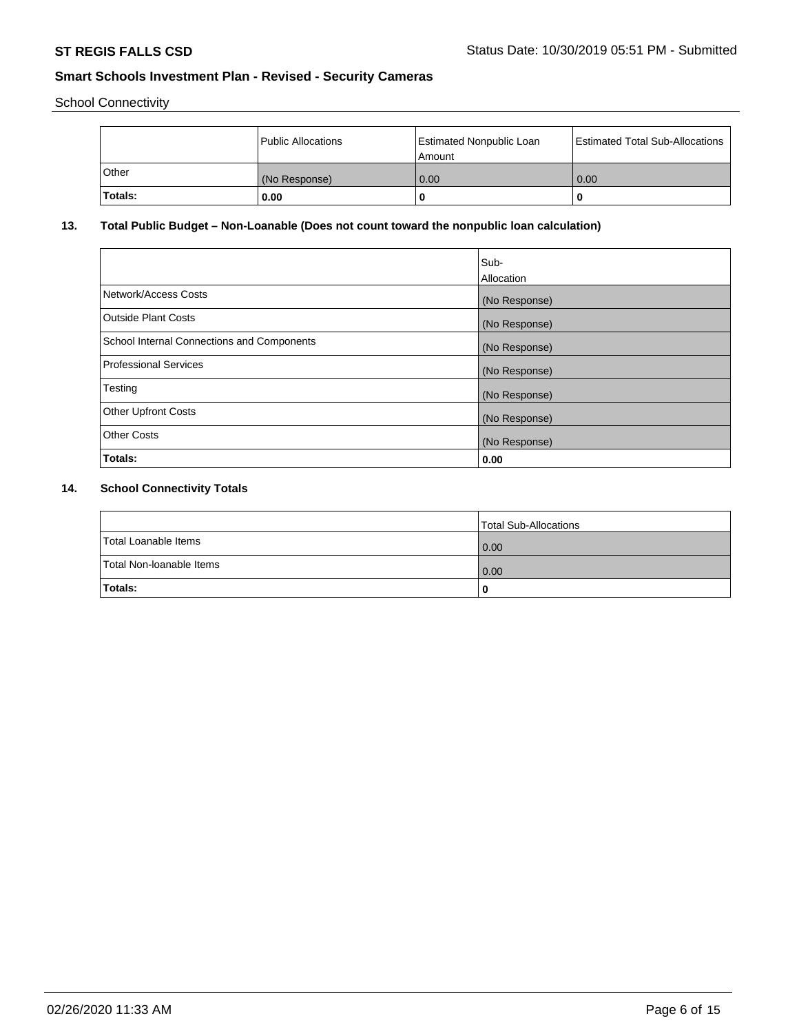School Connectivity

|         | Public Allocations | <b>Estimated Nonpublic Loan</b><br>l Amount | <b>Estimated Total Sub-Allocations</b> |
|---------|--------------------|---------------------------------------------|----------------------------------------|
| l Other | (No Response)      | 0.00                                        | 0.00                                   |
| Totals: | 0.00               | 0                                           |                                        |

# **13. Total Public Budget – Non-Loanable (Does not count toward the nonpublic loan calculation)**

|                                                   | Sub-<br>Allocation |
|---------------------------------------------------|--------------------|
|                                                   |                    |
| Network/Access Costs                              | (No Response)      |
| <b>Outside Plant Costs</b>                        | (No Response)      |
| <b>School Internal Connections and Components</b> | (No Response)      |
| Professional Services                             | (No Response)      |
| Testing                                           | (No Response)      |
| <b>Other Upfront Costs</b>                        | (No Response)      |
| <b>Other Costs</b>                                | (No Response)      |
| <b>Totals:</b>                                    | 0.00               |

# **14. School Connectivity Totals**

|                          | Total Sub-Allocations |
|--------------------------|-----------------------|
| Total Loanable Items     | $\overline{0.00}$     |
| Total Non-Ioanable Items | $\overline{0.00}$     |
| Totals:                  |                       |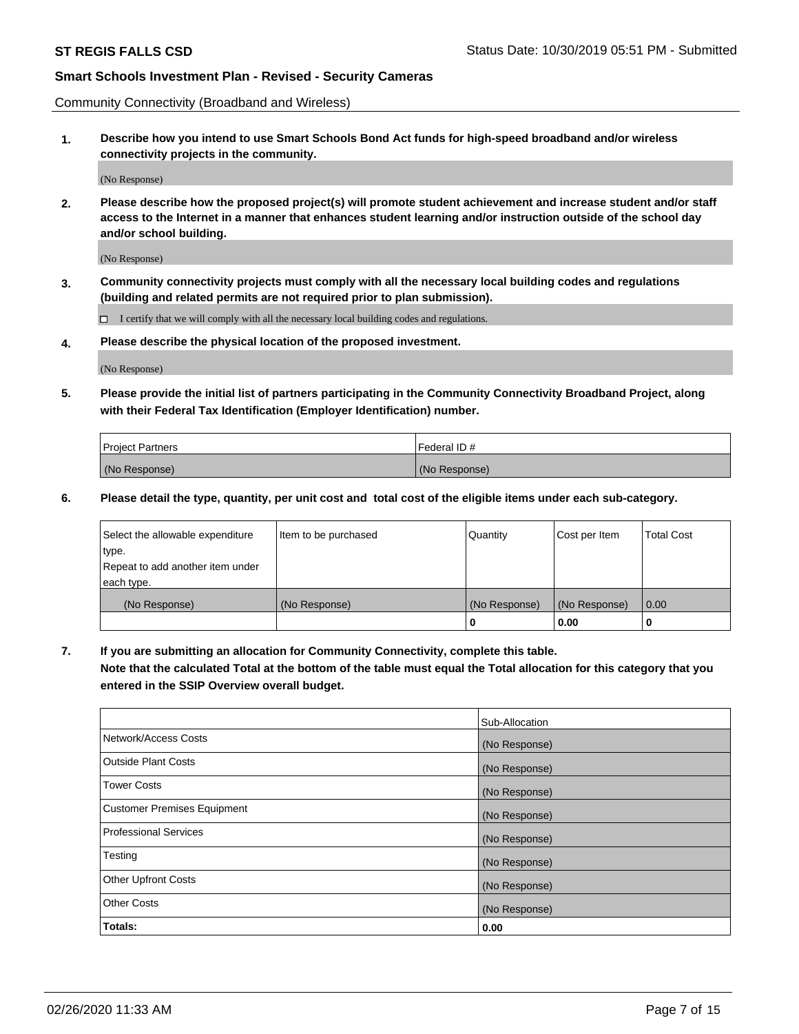Community Connectivity (Broadband and Wireless)

**1. Describe how you intend to use Smart Schools Bond Act funds for high-speed broadband and/or wireless connectivity projects in the community.**

(No Response)

**2. Please describe how the proposed project(s) will promote student achievement and increase student and/or staff access to the Internet in a manner that enhances student learning and/or instruction outside of the school day and/or school building.**

(No Response)

**3. Community connectivity projects must comply with all the necessary local building codes and regulations (building and related permits are not required prior to plan submission).**

 $\Box$  I certify that we will comply with all the necessary local building codes and regulations.

**4. Please describe the physical location of the proposed investment.**

(No Response)

**5. Please provide the initial list of partners participating in the Community Connectivity Broadband Project, along with their Federal Tax Identification (Employer Identification) number.**

| <b>Project Partners</b> | l Federal ID # |
|-------------------------|----------------|
| (No Response)           | (No Response)  |

**6. Please detail the type, quantity, per unit cost and total cost of the eligible items under each sub-category.**

| Select the allowable expenditure | Item to be purchased | Quantity      | Cost per Item | <b>Total Cost</b> |
|----------------------------------|----------------------|---------------|---------------|-------------------|
| type.                            |                      |               |               |                   |
| Repeat to add another item under |                      |               |               |                   |
| each type.                       |                      |               |               |                   |
| (No Response)                    | (No Response)        | (No Response) | (No Response) | 0.00              |
|                                  |                      | o             | 0.00          |                   |

**7. If you are submitting an allocation for Community Connectivity, complete this table.**

**Note that the calculated Total at the bottom of the table must equal the Total allocation for this category that you entered in the SSIP Overview overall budget.**

|                                    | Sub-Allocation |
|------------------------------------|----------------|
| Network/Access Costs               | (No Response)  |
| Outside Plant Costs                | (No Response)  |
| <b>Tower Costs</b>                 | (No Response)  |
| <b>Customer Premises Equipment</b> | (No Response)  |
| <b>Professional Services</b>       | (No Response)  |
| Testing                            | (No Response)  |
| <b>Other Upfront Costs</b>         | (No Response)  |
| <b>Other Costs</b>                 | (No Response)  |
| Totals:                            | 0.00           |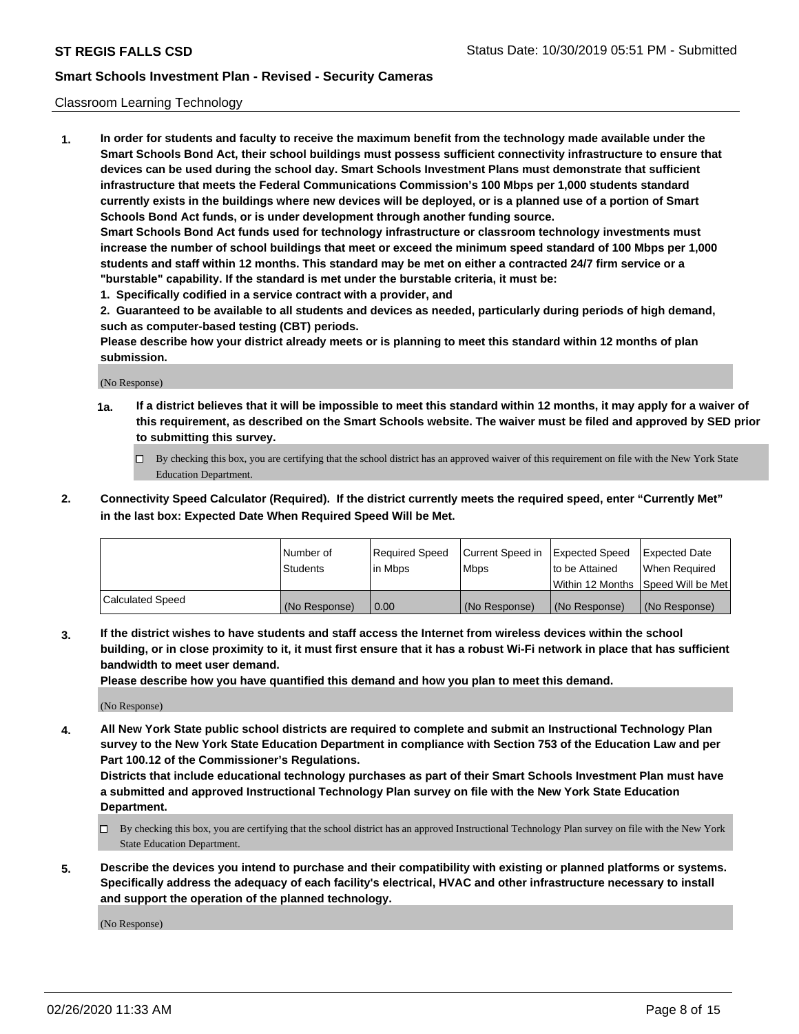#### Classroom Learning Technology

**1. In order for students and faculty to receive the maximum benefit from the technology made available under the Smart Schools Bond Act, their school buildings must possess sufficient connectivity infrastructure to ensure that devices can be used during the school day. Smart Schools Investment Plans must demonstrate that sufficient infrastructure that meets the Federal Communications Commission's 100 Mbps per 1,000 students standard currently exists in the buildings where new devices will be deployed, or is a planned use of a portion of Smart Schools Bond Act funds, or is under development through another funding source. Smart Schools Bond Act funds used for technology infrastructure or classroom technology investments must increase the number of school buildings that meet or exceed the minimum speed standard of 100 Mbps per 1,000 students and staff within 12 months. This standard may be met on either a contracted 24/7 firm service or a "burstable" capability. If the standard is met under the burstable criteria, it must be:**

**1. Specifically codified in a service contract with a provider, and**

**2. Guaranteed to be available to all students and devices as needed, particularly during periods of high demand, such as computer-based testing (CBT) periods.**

**Please describe how your district already meets or is planning to meet this standard within 12 months of plan submission.**

(No Response)

- **1a. If a district believes that it will be impossible to meet this standard within 12 months, it may apply for a waiver of this requirement, as described on the Smart Schools website. The waiver must be filed and approved by SED prior to submitting this survey.**
	- By checking this box, you are certifying that the school district has an approved waiver of this requirement on file with the New York State Education Department.
- **2. Connectivity Speed Calculator (Required). If the district currently meets the required speed, enter "Currently Met" in the last box: Expected Date When Required Speed Will be Met.**

|                  | l Number of     | Required Speed | Current Speed in | <b>Expected Speed</b> | <b>Expected Date</b>                |
|------------------|-----------------|----------------|------------------|-----------------------|-------------------------------------|
|                  | <b>Students</b> | l in Mbps      | l Mbps           | to be Attained        | When Required                       |
|                  |                 |                |                  |                       | Within 12 Months  Speed Will be Met |
| Calculated Speed | (No Response)   | 0.00           | (No Response)    | l (No Response)       | (No Response)                       |

**3. If the district wishes to have students and staff access the Internet from wireless devices within the school building, or in close proximity to it, it must first ensure that it has a robust Wi-Fi network in place that has sufficient bandwidth to meet user demand.**

**Please describe how you have quantified this demand and how you plan to meet this demand.**

(No Response)

**4. All New York State public school districts are required to complete and submit an Instructional Technology Plan survey to the New York State Education Department in compliance with Section 753 of the Education Law and per Part 100.12 of the Commissioner's Regulations.**

**Districts that include educational technology purchases as part of their Smart Schools Investment Plan must have a submitted and approved Instructional Technology Plan survey on file with the New York State Education Department.**

- By checking this box, you are certifying that the school district has an approved Instructional Technology Plan survey on file with the New York State Education Department.
- **5. Describe the devices you intend to purchase and their compatibility with existing or planned platforms or systems. Specifically address the adequacy of each facility's electrical, HVAC and other infrastructure necessary to install and support the operation of the planned technology.**

(No Response)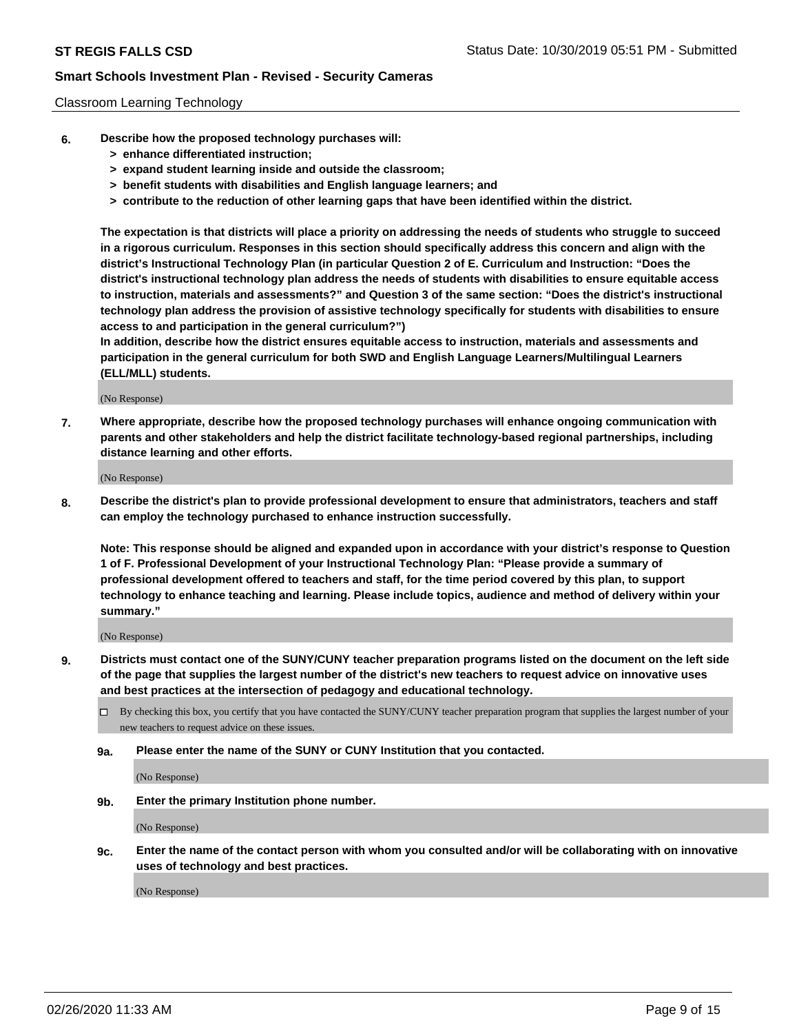#### Classroom Learning Technology

- **6. Describe how the proposed technology purchases will:**
	- **> enhance differentiated instruction;**
	- **> expand student learning inside and outside the classroom;**
	- **> benefit students with disabilities and English language learners; and**
	- **> contribute to the reduction of other learning gaps that have been identified within the district.**

**The expectation is that districts will place a priority on addressing the needs of students who struggle to succeed in a rigorous curriculum. Responses in this section should specifically address this concern and align with the district's Instructional Technology Plan (in particular Question 2 of E. Curriculum and Instruction: "Does the district's instructional technology plan address the needs of students with disabilities to ensure equitable access to instruction, materials and assessments?" and Question 3 of the same section: "Does the district's instructional technology plan address the provision of assistive technology specifically for students with disabilities to ensure access to and participation in the general curriculum?")**

**In addition, describe how the district ensures equitable access to instruction, materials and assessments and participation in the general curriculum for both SWD and English Language Learners/Multilingual Learners (ELL/MLL) students.**

(No Response)

**7. Where appropriate, describe how the proposed technology purchases will enhance ongoing communication with parents and other stakeholders and help the district facilitate technology-based regional partnerships, including distance learning and other efforts.**

(No Response)

**8. Describe the district's plan to provide professional development to ensure that administrators, teachers and staff can employ the technology purchased to enhance instruction successfully.**

**Note: This response should be aligned and expanded upon in accordance with your district's response to Question 1 of F. Professional Development of your Instructional Technology Plan: "Please provide a summary of professional development offered to teachers and staff, for the time period covered by this plan, to support technology to enhance teaching and learning. Please include topics, audience and method of delivery within your summary."**

(No Response)

- **9. Districts must contact one of the SUNY/CUNY teacher preparation programs listed on the document on the left side of the page that supplies the largest number of the district's new teachers to request advice on innovative uses and best practices at the intersection of pedagogy and educational technology.**
	- By checking this box, you certify that you have contacted the SUNY/CUNY teacher preparation program that supplies the largest number of your new teachers to request advice on these issues.
	- **9a. Please enter the name of the SUNY or CUNY Institution that you contacted.**

(No Response)

**9b. Enter the primary Institution phone number.**

(No Response)

**9c. Enter the name of the contact person with whom you consulted and/or will be collaborating with on innovative uses of technology and best practices.**

(No Response)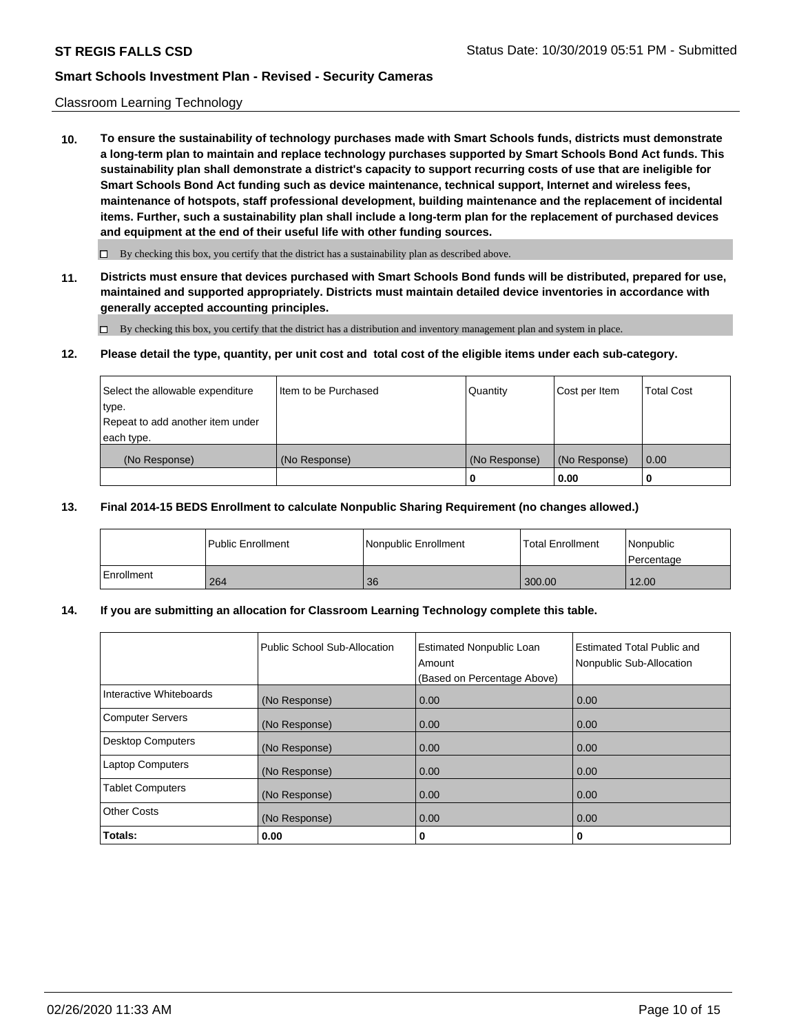#### Classroom Learning Technology

**10. To ensure the sustainability of technology purchases made with Smart Schools funds, districts must demonstrate a long-term plan to maintain and replace technology purchases supported by Smart Schools Bond Act funds. This sustainability plan shall demonstrate a district's capacity to support recurring costs of use that are ineligible for Smart Schools Bond Act funding such as device maintenance, technical support, Internet and wireless fees, maintenance of hotspots, staff professional development, building maintenance and the replacement of incidental items. Further, such a sustainability plan shall include a long-term plan for the replacement of purchased devices and equipment at the end of their useful life with other funding sources.**

 $\Box$  By checking this box, you certify that the district has a sustainability plan as described above.

**11. Districts must ensure that devices purchased with Smart Schools Bond funds will be distributed, prepared for use, maintained and supported appropriately. Districts must maintain detailed device inventories in accordance with generally accepted accounting principles.**

By checking this box, you certify that the district has a distribution and inventory management plan and system in place.

#### **12. Please detail the type, quantity, per unit cost and total cost of the eligible items under each sub-category.**

| Select the allowable expenditure<br>type.      | Item to be Purchased | Quantity      | Cost per Item | <b>Total Cost</b> |
|------------------------------------------------|----------------------|---------------|---------------|-------------------|
| Repeat to add another item under<br>each type. |                      |               |               |                   |
| (No Response)                                  | (No Response)        | (No Response) | (No Response) | 0.00              |
|                                                |                      |               | 0.00          |                   |

#### **13. Final 2014-15 BEDS Enrollment to calculate Nonpublic Sharing Requirement (no changes allowed.)**

|            | <b>Public Enrollment</b> | Nonpublic Enrollment | <b>Total Enrollment</b> | Nonpublic<br>l Percentage |
|------------|--------------------------|----------------------|-------------------------|---------------------------|
| Enrollment | 264                      | 36                   | 300.00                  | 12.00                     |

### **14. If you are submitting an allocation for Classroom Learning Technology complete this table.**

|                         | Public School Sub-Allocation | <b>Estimated Nonpublic Loan</b><br>Amount<br>(Based on Percentage Above) | Estimated Total Public and<br>Nonpublic Sub-Allocation |
|-------------------------|------------------------------|--------------------------------------------------------------------------|--------------------------------------------------------|
| Interactive Whiteboards | (No Response)                | 0.00                                                                     | 0.00                                                   |
| Computer Servers        | (No Response)                | 0.00                                                                     | 0.00                                                   |
| Desktop Computers       | (No Response)                | 0.00                                                                     | 0.00                                                   |
| <b>Laptop Computers</b> | (No Response)                | 0.00                                                                     | 0.00                                                   |
| <b>Tablet Computers</b> | (No Response)                | 0.00                                                                     | 0.00                                                   |
| Other Costs             | (No Response)                | 0.00                                                                     | 0.00                                                   |
| Totals:                 | 0.00                         | 0                                                                        | 0                                                      |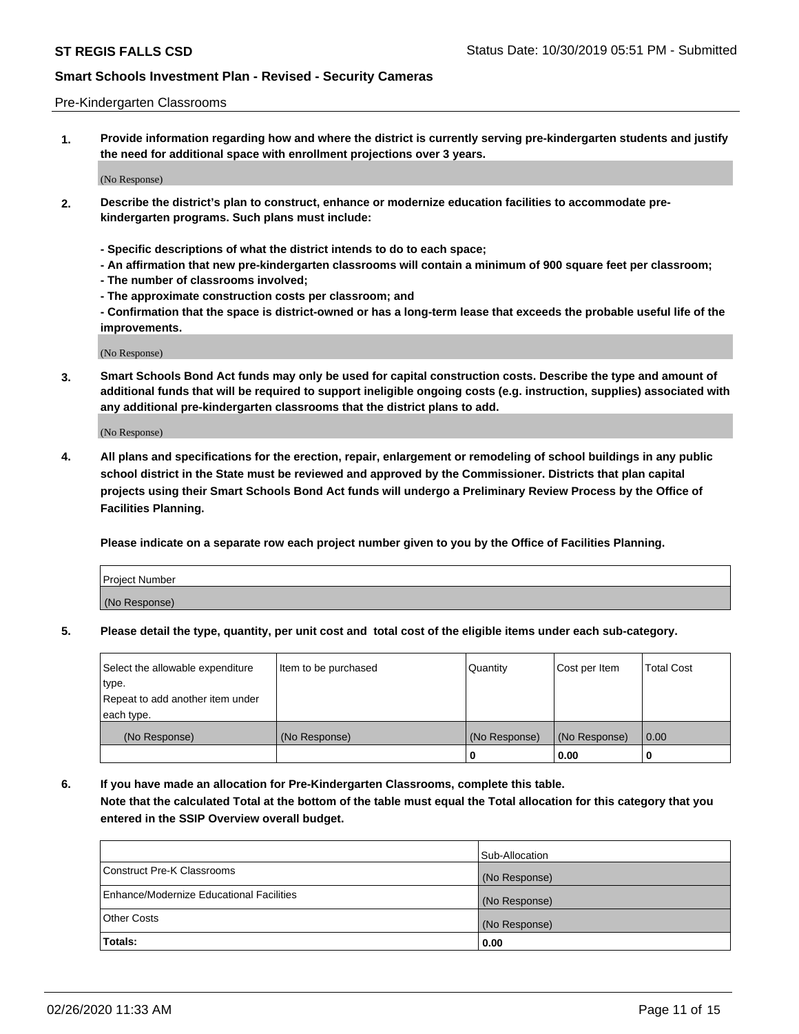#### Pre-Kindergarten Classrooms

**1. Provide information regarding how and where the district is currently serving pre-kindergarten students and justify the need for additional space with enrollment projections over 3 years.**

(No Response)

- **2. Describe the district's plan to construct, enhance or modernize education facilities to accommodate prekindergarten programs. Such plans must include:**
	- **Specific descriptions of what the district intends to do to each space;**
	- **An affirmation that new pre-kindergarten classrooms will contain a minimum of 900 square feet per classroom;**
	- **The number of classrooms involved;**
	- **The approximate construction costs per classroom; and**
	- **Confirmation that the space is district-owned or has a long-term lease that exceeds the probable useful life of the improvements.**

(No Response)

**3. Smart Schools Bond Act funds may only be used for capital construction costs. Describe the type and amount of additional funds that will be required to support ineligible ongoing costs (e.g. instruction, supplies) associated with any additional pre-kindergarten classrooms that the district plans to add.**

(No Response)

**4. All plans and specifications for the erection, repair, enlargement or remodeling of school buildings in any public school district in the State must be reviewed and approved by the Commissioner. Districts that plan capital projects using their Smart Schools Bond Act funds will undergo a Preliminary Review Process by the Office of Facilities Planning.**

**Please indicate on a separate row each project number given to you by the Office of Facilities Planning.**

| Project Number |  |
|----------------|--|
| (No Response)  |  |
|                |  |

**5. Please detail the type, quantity, per unit cost and total cost of the eligible items under each sub-category.**

| Select the allowable expenditure | Item to be purchased | Quantity      | Cost per Item | <b>Total Cost</b> |
|----------------------------------|----------------------|---------------|---------------|-------------------|
| type.                            |                      |               |               |                   |
| Repeat to add another item under |                      |               |               |                   |
| each type.                       |                      |               |               |                   |
| (No Response)                    | (No Response)        | (No Response) | (No Response) | 0.00              |
|                                  |                      | U             | 0.00          |                   |

**6. If you have made an allocation for Pre-Kindergarten Classrooms, complete this table. Note that the calculated Total at the bottom of the table must equal the Total allocation for this category that you entered in the SSIP Overview overall budget.**

|                                          | Sub-Allocation |
|------------------------------------------|----------------|
| Construct Pre-K Classrooms               | (No Response)  |
| Enhance/Modernize Educational Facilities | (No Response)  |
| <b>Other Costs</b>                       | (No Response)  |
| Totals:                                  | 0.00           |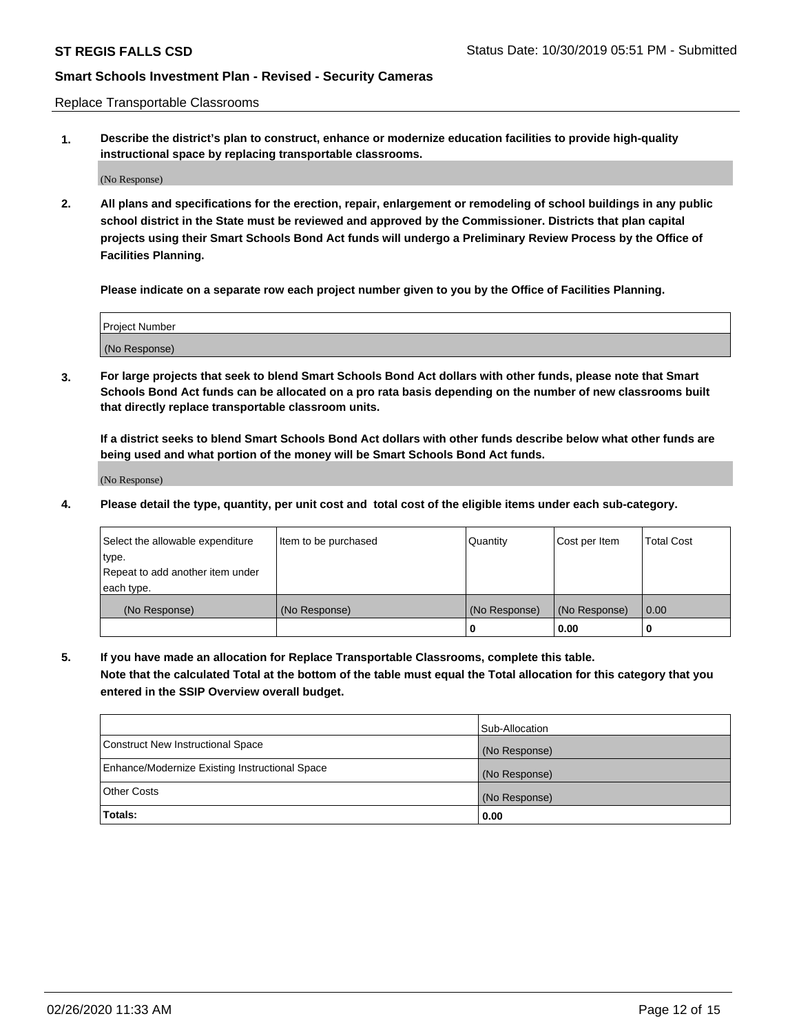Replace Transportable Classrooms

**1. Describe the district's plan to construct, enhance or modernize education facilities to provide high-quality instructional space by replacing transportable classrooms.**

(No Response)

**2. All plans and specifications for the erection, repair, enlargement or remodeling of school buildings in any public school district in the State must be reviewed and approved by the Commissioner. Districts that plan capital projects using their Smart Schools Bond Act funds will undergo a Preliminary Review Process by the Office of Facilities Planning.**

**Please indicate on a separate row each project number given to you by the Office of Facilities Planning.**

| Project Number |  |
|----------------|--|
|                |  |
|                |  |
|                |  |
| (No Response)  |  |
|                |  |
|                |  |

**3. For large projects that seek to blend Smart Schools Bond Act dollars with other funds, please note that Smart Schools Bond Act funds can be allocated on a pro rata basis depending on the number of new classrooms built that directly replace transportable classroom units.**

**If a district seeks to blend Smart Schools Bond Act dollars with other funds describe below what other funds are being used and what portion of the money will be Smart Schools Bond Act funds.**

(No Response)

**4. Please detail the type, quantity, per unit cost and total cost of the eligible items under each sub-category.**

| Select the allowable expenditure | Item to be purchased | Quantity      | Cost per Item | Total Cost |
|----------------------------------|----------------------|---------------|---------------|------------|
| ∣type.                           |                      |               |               |            |
| Repeat to add another item under |                      |               |               |            |
| each type.                       |                      |               |               |            |
| (No Response)                    | (No Response)        | (No Response) | (No Response) | 0.00       |
|                                  |                      | u             | 0.00          |            |

**5. If you have made an allocation for Replace Transportable Classrooms, complete this table. Note that the calculated Total at the bottom of the table must equal the Total allocation for this category that you entered in the SSIP Overview overall budget.**

|                                                | Sub-Allocation |
|------------------------------------------------|----------------|
| Construct New Instructional Space              | (No Response)  |
| Enhance/Modernize Existing Instructional Space | (No Response)  |
| Other Costs                                    | (No Response)  |
| Totals:                                        | 0.00           |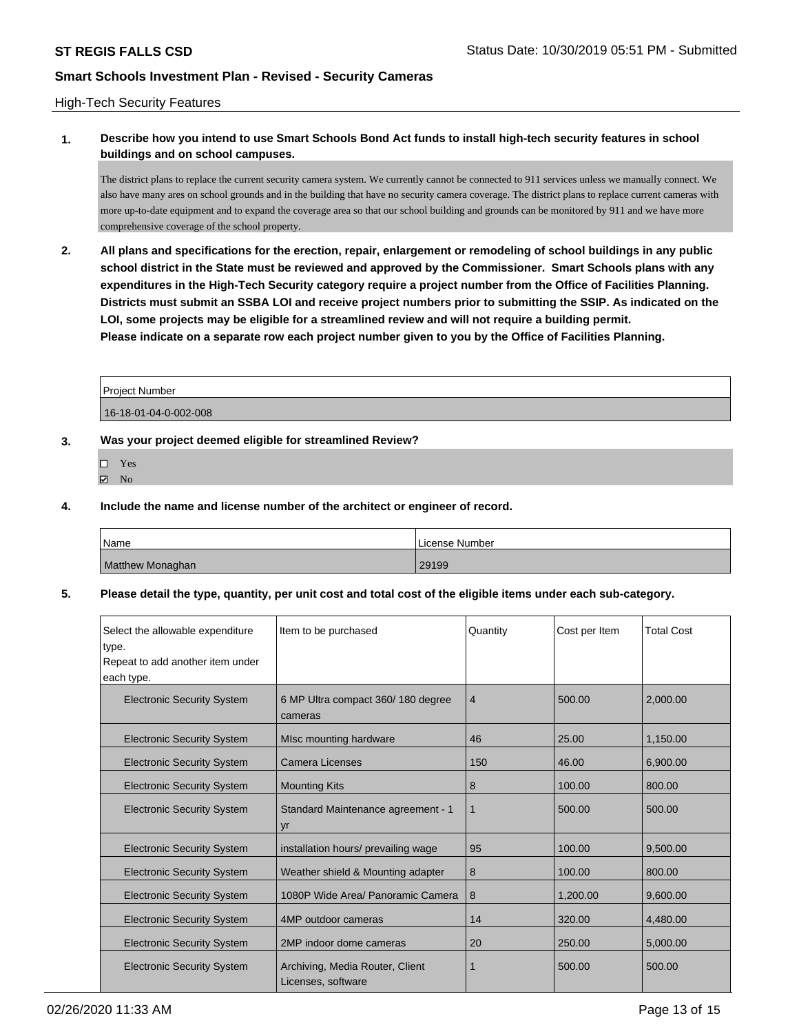#### High-Tech Security Features

# **1. Describe how you intend to use Smart Schools Bond Act funds to install high-tech security features in school buildings and on school campuses.**

The district plans to replace the current security camera system. We currently cannot be connected to 911 services unless we manually connect. We also have many ares on school grounds and in the building that have no security camera coverage. The district plans to replace current cameras with more up-to-date equipment and to expand the coverage area so that our school building and grounds can be monitored by 911 and we have more comprehensive coverage of the school property.

**2. All plans and specifications for the erection, repair, enlargement or remodeling of school buildings in any public school district in the State must be reviewed and approved by the Commissioner. Smart Schools plans with any expenditures in the High-Tech Security category require a project number from the Office of Facilities Planning. Districts must submit an SSBA LOI and receive project numbers prior to submitting the SSIP. As indicated on the LOI, some projects may be eligible for a streamlined review and will not require a building permit. Please indicate on a separate row each project number given to you by the Office of Facilities Planning.**

| Project Number        |  |
|-----------------------|--|
| 16-18-01-04-0-002-008 |  |

#### **3. Was your project deemed eligible for streamlined Review?**

- Yes
- $\boxtimes$  No

#### **4. Include the name and license number of the architect or engineer of record.**

| <b>Name</b>      | License Number |
|------------------|----------------|
| Matthew Monaghan | 29199          |

#### **5. Please detail the type, quantity, per unit cost and total cost of the eligible items under each sub-category.**

| Select the allowable expenditure<br>type.<br>Repeat to add another item under<br>each type. | Item to be purchased                                  | Quantity       | Cost per Item | <b>Total Cost</b> |
|---------------------------------------------------------------------------------------------|-------------------------------------------------------|----------------|---------------|-------------------|
| <b>Electronic Security System</b>                                                           | 6 MP Ultra compact 360/180 degree<br>cameras          | $\overline{4}$ | 500.00        | 2,000.00          |
| <b>Electronic Security System</b>                                                           | MIsc mounting hardware                                | 46             | 25.00         | 1,150.00          |
| <b>Electronic Security System</b>                                                           | <b>Camera Licenses</b>                                | 150            | 46.00         | 6,900.00          |
| <b>Electronic Security System</b>                                                           | <b>Mounting Kits</b>                                  | 8              | 100.00        | 800.00            |
| <b>Electronic Security System</b>                                                           | Standard Maintenance agreement - 1<br>yr              | 1              | 500.00        | 500.00            |
| <b>Electronic Security System</b>                                                           | installation hours/ prevailing wage                   | 95             | 100.00        | 9,500.00          |
| <b>Electronic Security System</b>                                                           | Weather shield & Mounting adapter                     | 8              | 100.00        | 800.00            |
| <b>Electronic Security System</b>                                                           | 1080P Wide Area/ Panoramic Camera                     | 8              | 1,200.00      | 9.600.00          |
| <b>Electronic Security System</b>                                                           | 4MP outdoor cameras                                   | 14             | 320.00        | 4,480.00          |
| <b>Electronic Security System</b>                                                           | 2MP indoor dome cameras                               | 20             | 250.00        | 5,000.00          |
| <b>Electronic Security System</b>                                                           | Archiving, Media Router, Client<br>Licenses, software | 1              | 500.00        | 500.00            |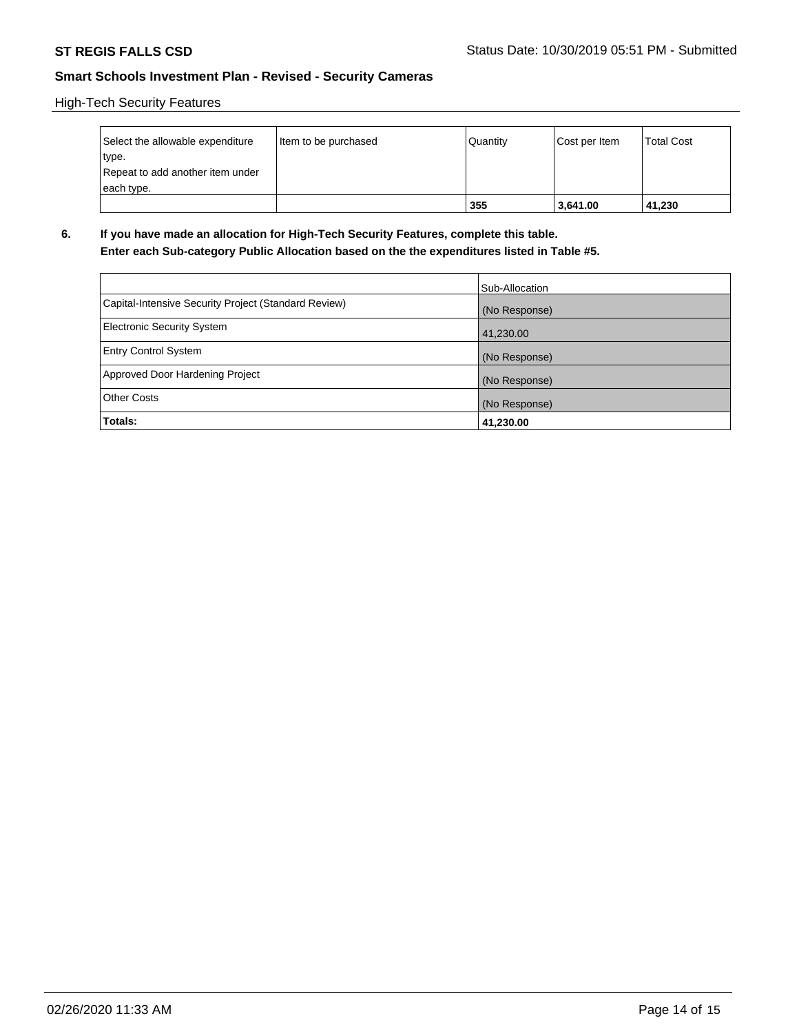High-Tech Security Features

| Select the allowable expenditure | Item to be purchased | Quantity | Cost per Item | <b>Total Cost</b> |
|----------------------------------|----------------------|----------|---------------|-------------------|
| type.                            |                      |          |               |                   |
| Repeat to add another item under |                      |          |               |                   |
| each type.                       |                      |          |               |                   |
|                                  |                      | 355      | 3,641.00      | 41,230            |

**6. If you have made an allocation for High-Tech Security Features, complete this table. Enter each Sub-category Public Allocation based on the the expenditures listed in Table #5.**

|                                                      | Sub-Allocation |
|------------------------------------------------------|----------------|
| Capital-Intensive Security Project (Standard Review) | (No Response)  |
| Electronic Security System                           | 41,230.00      |
| <b>Entry Control System</b>                          | (No Response)  |
| Approved Door Hardening Project                      | (No Response)  |
| <b>Other Costs</b>                                   | (No Response)  |
| Totals:                                              | 41,230.00      |